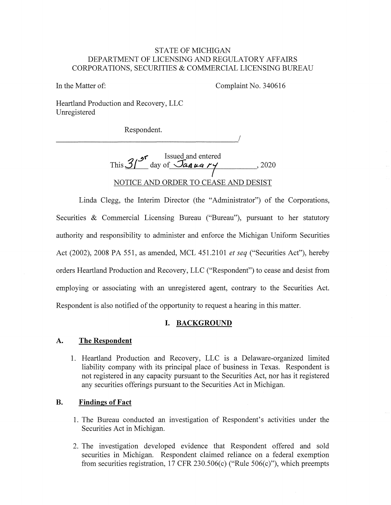#### STATE OF MICHIGAN DEPARTMENT OF LICENSING AND REGULATORY AFFAIRS CORPORATIONS, SECURITIES & COMMERCIAL LICENSING BUREAU

In the Matter of: Complaint No. 340616

Heartland Production and Recovery, LLC Umegistered

Respondent. Respondent.

> This 3<sup>r</sup> day of January 1920 NOTICE AND ORDER TO CEASE AND DESIST

Linda Clegg, the Interim Director (the "Administrator") of the Corporations, Securities & Commercial Licensing Bureau ("Bureau"), pursuant to her statutory authority and responsibility to administer and enforce the Michigan Uniform Securities Act (2002), 2008 PA 551, as amended, MCL 451.2101 *et seq* ("Securities Act"), hereby orders Heartland Production and Recovery, LLC ("Respondent") to cease and desist from employing or associating with an umegistered agent, contrary to the Securities Act. Respondent is also notified of the opportunity to request a hearing in this matter.

# **I. BACKGROUND**

#### **A. The Respondent**

1. Heartland Production and Recovery, LLC is a Delaware-organized limited liability company with its principal place of business in Texas. Respondent is not registered in any capacity pursuant to the Securities Act, nor has it registered any securities offerings pursuant to the Securities Act in Michigan.

# **B. Findings of Fact**

- 1. The Bureau conducted an investigation of Respondent's activities under the Securities Act in Michigan.
- 2. The investigation developed evidence that Respondent offered and sold securities in Michigan. Respondent claimed reliance on a federal exemption from securities registration, 17 CFR 230.506(c) ("Rule 506(c)"), which preempts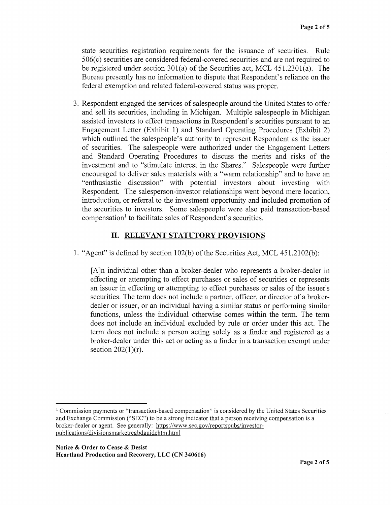state securities registration requirements for the issuance of securities. Rule 506( c) securities are considered federal-covered securities and are not required to be registered under section 301(a) of the Securities act, MCL 451.230l(a). The Bureau presently has no information to dispute that Respondent's reliance on the federal exemption and related federal-covered status was proper.

3. Respondent engaged the services of salespeople around the United States to offer and sell its securities, including in Michigan. Multiple salespeople in Michigan assisted investors to effect transactions in Respondent's securities pursuant to an Engagement Letter (Exhibit 1) and Standard Operating Procedures (Exhibit 2) which outlined the salespeople's authority to represent Respondent as the issuer of securities. The salespeople were authorized under the Engagement Letters and Standard Operating Procedures to discuss the merits and risks of the investment and to "stimulate interest in the Shares." Salespeople were further encouraged to deliver sales materials with a "warm relationship" and to have an "enthusiastic discussion" with potential investors about investing with Respondent. The salesperson-investor relationships went beyond mere location, introduction, or referral to the investment opportunity and included promotion of the securities to investors. Some salespeople were also paid transaction-based compensation<sup>1</sup> to facilitate sales of Respondent's securities.

# II. **RELEVANT STATUTORY PROVISIONS**

1. "Agent" is defined by section 102(b) of the Securities Act, MCL 451.2102(b):

[A]n individual other than a broker-dealer who represents a broker-dealer in effecting or attempting to effect purchases or sales of securities or represents an issuer in effecting or attempting to effect purchases or sales of the issuer's securities. The term does not include a partner, officer, or director of a brokerdealer or issuer, or an individual having a similar status or performing similar functions, unless the individual otherwise comes within the term. The term does not include an individual excluded by rule or order under this act. The term does not include a person acting solely as a finder and registered as a broker-dealer under this act or acting as a finder in a transaction exempt under section  $202(1)(r)$ .

<sup>1</sup> Commission payments or "transaction-based compensation" is considered by the United States Securities and Exchange Commission ("SEC") to be a strong indicator that a person receiving compensation is a broker-dealer or agent. See generally: https://www.sec.gov/reportspubs/investorpublications/divisionsmarketregbdguidehtm.html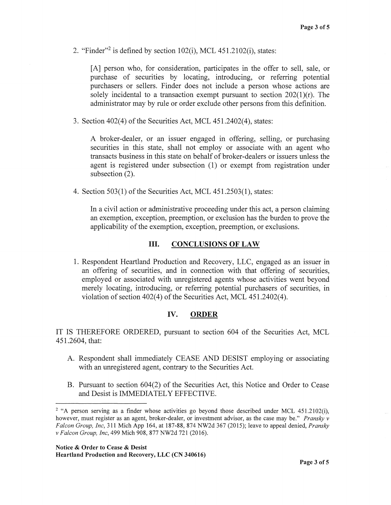2. "Finder"<sup>2</sup> is defined by section  $102(i)$ , MCL  $451.2102(i)$ , states:

[A] person who, for consideration, participates in the offer to sell, sale, or purchase of securities by locating, introducing, or referring potential purchasers or sellers. Finder does not include a person whose actions are solely incidental to a transaction exempt pursuant to section  $202(1)(r)$ . The administrator may by rule or order exclude other persons from this definition.

3. Section  $402(4)$  of the Securities Act, MCL  $451.2402(4)$ , states:

A broker-dealer, or an issuer engaged in offering, selling, or purchasing securities in this state, shall not employ or associate with an agent who transacts business in this state on behalf of broker-dealers or issuers unless the agent is registered under subsection (1) or exempt from registration under subsection (2).

4. Section 503(1) of the Securities Act, MCL 451.2503(1), states:

In a civil action or administrative proceeding under this act, a person claiming an exemption, exception, preemption, or exclusion has the burden to prove the applicability of the exemption, exception, preemption, or exclusions.

#### III. **CONCLUSIONS OF LAW**

1. Respondent Heartland Production and Recovery, LLC, engaged as an issuer in an offering of securities, and in connection with that offering of securities, employed or associated with unregistered agents whose activities went beyond merely locating, introducing, or referring potential purchasers of securities, in violation of section 402(4) of the Securities Act, MCL 451.2402(4).

#### IV. **ORDER**

IT IS THEREFORE ORDERED, pursuant to section 604 of the Securities Act, MCL 451.2604, that:

- A. Respondent shall immediately CEASE AND DESIST employing or associating with an unregistered agent, contrary to the Securities Act.
- B. Pursuant to section 604(2) of the Securities Act, this Notice and Order to Cease and Desist is IMMEDIATELY EFFECTIVE.

<sup>&</sup>lt;sup>2</sup> "A person serving as a finder whose activities go beyond those described under MCL 451.2102(i), however, must register as an agent, broker-dealer, or investment advisor, as the case may be." *Pransky v Falcon Group, Inc,* 311 Mich App 164, at 187-88, 874 NW2d 367 (2015); leave to appeal denied, *Pransky v Falcon Group, Inc,* 499 Mich 908, 877 NW2d 721 (2016).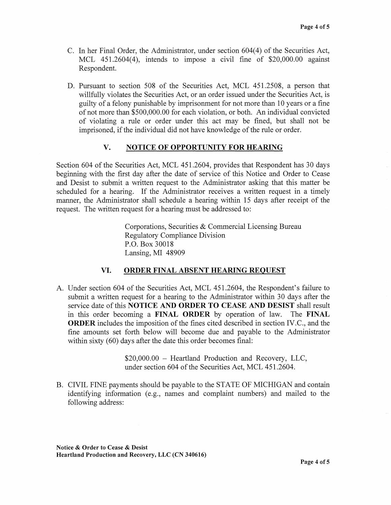- C. In her Final Order, the Administrator, under section 604(4) of the Securities Act, MCL 451.2604(4), intends to impose a civil fine of \$20,000.00 against Respondent.
- D. Pursuant to section 508 of the Securities Act, MCL 451.2508, a person that willfully violates the Securities Act, or an order issued under the Securities Act, is guilty of a felony punishable by imprisonment for not more than 10 years or a fine of not more than \$500,000.00 for each violation, or both. An individual convicted of violating a rule or order under this act may be fined, but shall not be imprisoned, if the individual did not have knowledge of the rule or order.

# **V. NOTICE OF OPPORTUNITY FOR HEARING**

Section 604 of the Securities Act, MCL 451.2604, provides that Respondent has 30 days beginning with the first day after the date of service of this Notice and Order to Cease and Desist to submit a written request to the Administrator asking that this matter be scheduled for a hearing. If the Administrator receives a written request in a timely manner, the Administrator shall schedule a hearing within 15 days after receipt of the request. The written request for a hearing must be addressed to:

> Corporations, Securities & Commercial Licensing Bureau Regulatory Compliance Division P.O. Box 30018 Lansing, MI 48909

# **VI. ORDER FINAL ABSENT HEARING REQUEST**

A. Under section 604 of the Securities Act, MCL 451.2604, the Respondent's failure to submit a written request for a hearing to the Administrator within 30 days after the service date of this **NOTICE AND ORDER TO CEASE AND DESIST** shall result in this order becoming a **FINAL ORDER** by operation of law. The **FINAL ORDER** includes the imposition of the fines cited described in section IV.C., and the fine amounts set forth below will become due and payable to the Administrator within sixty (60) days after the date this order becomes final:

> \$20,000.00 - Heartland Production and Recovery, LLC, under section 604 of the Securities Act, MCL 451.2604.

B. CIVIL FINE payments should be payable to the STATE OF MICHIGAN and contain identifying information (e.g., names and complaint numbers) and mailed to the following address: